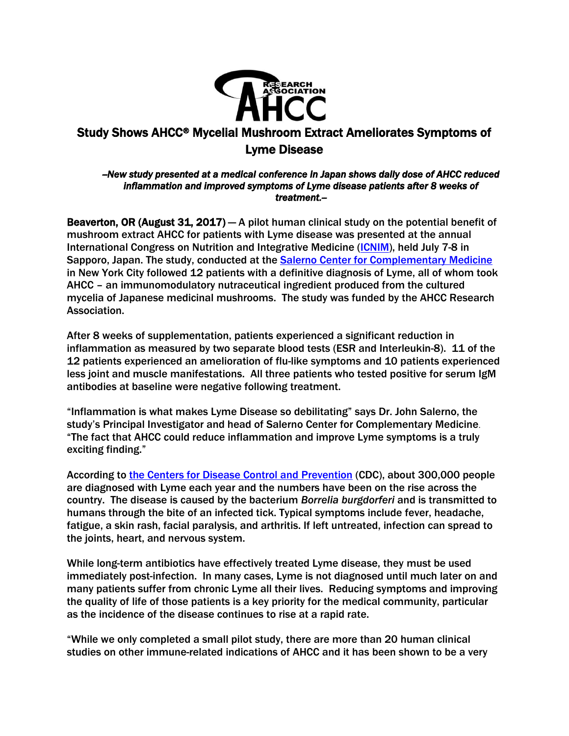

## Study Shows AHCC® Mycelial Mushroom Extract Ameliorates Symptoms of Lyme Disease

## *--New study presented at a medical conference in Japan shows daily dose of AHCC reduced inflammation and improved symptoms of Lyme disease patients after 8 weeks of treatment.--*

Beaverton, OR (August 31, 2017)  $-$  A pilot human clinical study on the potential benefit of mushroom extract AHCC for patients with Lyme disease was presented at the annual International Congress on Nutrition and Integrative Medicine [\(ICNIM\)](http://icnim.jpn.org/e/conference/schedule.php), held July 7-8 in Sapporo, Japan. The study, conducted at the [Salerno Center for Complementary Medicine](http://salernocenter.com/) in New York City followed 12 patients with a definitive diagnosis of Lyme, all of whom took AHCC – an immunomodulatory nutraceutical ingredient produced from the cultured mycelia of Japanese medicinal mushrooms. The study was funded by the AHCC Research Association.

After 8 weeks of supplementation, patients experienced a significant reduction in inflammation as measured by two separate blood tests (ESR and Interleukin-8). 11 of the 12 patients experienced an amelioration of flu-like symptoms and 10 patients experienced less joint and muscle manifestations. All three patients who tested positive for serum IgM antibodies at baseline were negative following treatment.

"Inflammation is what makes Lyme Disease so debilitating" says Dr. John Salerno, the study's Principal Investigator and head of Salerno Center for Complementary Medicine. "The fact that AHCC could reduce inflammation and improve Lyme symptoms is a truly exciting finding."

According to [the Centers for Disease Control and](https://www.cdc.gov/lyme/stats/humancases.html) Prevention (CDC), about 300,000 people are diagnosed with Lyme each year and the numbers have been on the rise across the country. The disease is caused by the bacterium *Borrelia burgdorferi* and is transmitted to humans through the bite of an infected tick. Typical symptoms include fever, headache, fatigue, a skin rash, facial paralysis, and arthritis. If left untreated, infection can spread to the joints, heart, and nervous system.

While long-term antibiotics have effectively treated Lyme disease, they must be used immediately post-infection. In many cases, Lyme is not diagnosed until much later on and many patients suffer from chronic Lyme all their lives. Reducing symptoms and improving the quality of life of those patients is a key priority for the medical community, particular as the incidence of the disease continues to rise at a rapid rate.

"While we only completed a small pilot study, there are more than 20 human clinical studies on other immune-related indications of AHCC and it has been shown to be a very